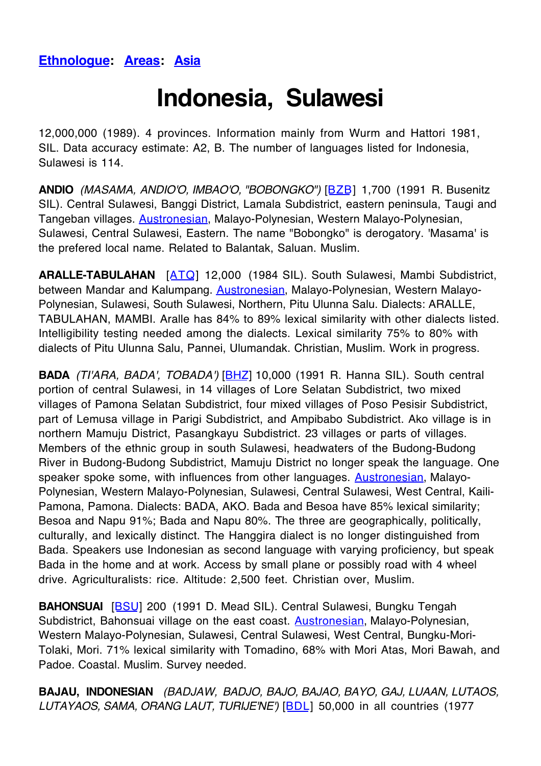## **Ethnologue: Areas: Asia**

## **Indonesia, Sulawesi**

12,000,000 (1989). 4 provinces. Information mainly from Wurm and Hattori 1981, SIL. Data accuracy estimate: A2, B. The number of languages listed for Indonesia, Sulawesi is 114.

**ANDIO** (MASAMA, ANDIO'O, IMBAO'O, "BOBONGKO") [BZB] 1,700 (1991 R. Busenitz SIL). Central Sulawesi, Banggi District, Lamala Subdistrict, eastern peninsula, Taugi and Tangeban villages. Austronesian, Malayo-Polynesian, Western Malayo-Polynesian, Sulawesi, Central Sulawesi, Eastern. The name "Bobongko" is derogatory. 'Masama' is the prefered local name. Related to Balantak, Saluan. Muslim.

**ARALLE-TABULAHAN** [ATQ] 12,000 (1984 SIL). South Sulawesi, Mambi Subdistrict, between Mandar and Kalumpang. Austronesian, Malayo-Polynesian, Western Malayo-Polynesian, Sulawesi, South Sulawesi, Northern, Pitu Ulunna Salu. Dialects: ARALLE, TABULAHAN, MAMBI. Aralle has 84% to 89% lexical similarity with other dialects listed. Intelligibility testing needed among the dialects. Lexical similarity 75% to 80% with dialects of Pitu Ulunna Salu, Pannei, Ulumandak. Christian, Muslim. Work in progress.

**BADA** (TI'ARA, BADA', TOBADA') [BHZ] 10,000 (1991 R. Hanna SIL). South central portion of central Sulawesi, in 14 villages of Lore Selatan Subdistrict, two mixed villages of Pamona Selatan Subdistrict, four mixed villages of Poso Pesisir Subdistrict, part of Lemusa village in Parigi Subdistrict, and Ampibabo Subdistrict. Ako village is in northern Mamuju District, Pasangkayu Subdistrict. 23 villages or parts of villages. Members of the ethnic group in south Sulawesi, headwaters of the Budong-Budong River in Budong-Budong Subdistrict, Mamuju District no longer speak the language. One speaker spoke some, with influences from other languages. **Austronesian**, Malayo-Polynesian, Western Malayo-Polynesian, Sulawesi, Central Sulawesi, West Central, Kaili-Pamona, Pamona. Dialects: BADA, AKO. Bada and Besoa have 85% lexical similarity; Besoa and Napu 91%; Bada and Napu 80%. The three are geographically, politically, culturally, and lexically distinct. The Hanggira dialect is no longer distinguished from Bada. Speakers use Indonesian as second language with varying proficiency, but speak Bada in the home and at work. Access by small plane or possibly road with 4 wheel drive. Agriculturalists: rice. Altitude: 2,500 feet. Christian over, Muslim.

**BAHONSUAI** [BSU] 200 (1991 D. Mead SIL). Central Sulawesi, Bungku Tengah Subdistrict, Bahonsuai village on the east coast. **Austronesian**, Malayo-Polynesian, Western Malayo-Polynesian, Sulawesi, Central Sulawesi, West Central, Bungku-Mori-Tolaki, Mori. 71% lexical similarity with Tomadino, 68% with Mori Atas, Mori Bawah, and Padoe. Coastal. Muslim. Survey needed.

**BAJAU, INDONESIAN** (BADJAW, BADJO, BAJO, BAJAO, BAYO, GAJ, LUAAN, LUTAOS, LUTAYAOS, SAMA, ORANG LAUT, TURIJE'NE') [BDL] 50,000 in all countries (1977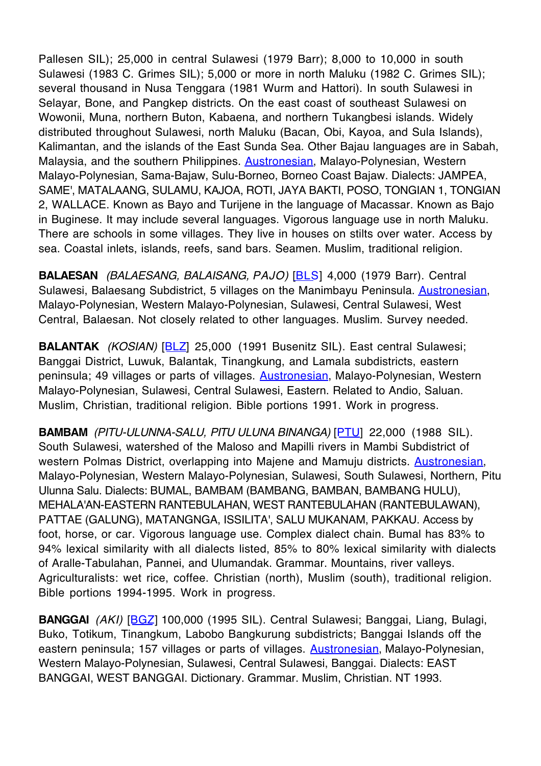Pallesen SIL); 25,000 in central Sulawesi (1979 Barr); 8,000 to 10,000 in south Sulawesi (1983 C. Grimes SIL); 5,000 or more in north Maluku (1982 C. Grimes SIL); several thousand in Nusa Tenggara (1981 Wurm and Hattori). In south Sulawesi in Selayar, Bone, and Pangkep districts. On the east coast of southeast Sulawesi on Wowonii, Muna, northern Buton, Kabaena, and northern Tukangbesi islands. Widely distributed throughout Sulawesi, north Maluku (Bacan, Obi, Kayoa, and Sula Islands), Kalimantan, and the islands of the East Sunda Sea. Other Bajau languages are in Sabah, Malaysia, and the southern Philippines. **Austronesian**, Malayo-Polynesian, Western Malayo-Polynesian, Sama-Bajaw, Sulu-Borneo, Borneo Coast Bajaw. Dialects: JAMPEA, SAME', MATALAANG, SULAMU, KAJOA, ROTI, JAYA BAKTI, POSO, TONGIAN 1, TONGIAN 2, WALLACE. Known as Bayo and Turijene in the language of Macassar. Known as Bajo in Buginese. It may include several languages. Vigorous language use in north Maluku. There are schools in some villages. They live in houses on stilts over water. Access by sea. Coastal inlets, islands, reefs, sand bars. Seamen. Muslim, traditional religion.

**BALAESAN** (BALAESANG, BALAISANG, PAJO) [BLS] 4,000 (1979 Barr). Central Sulawesi, Balaesang Subdistrict, 5 villages on the Manimbayu Peninsula. Austronesian, Malayo-Polynesian, Western Malayo-Polynesian, Sulawesi, Central Sulawesi, West Central, Balaesan. Not closely related to other languages. Muslim. Survey needed.

**BALANTAK** (KOSIAN) [BLZ] 25,000 (1991 Busenitz SIL). East central Sulawesi; Banggai District, Luwuk, Balantak, Tinangkung, and Lamala subdistricts, eastern peninsula; 49 villages or parts of villages. Austronesian, Malayo-Polynesian, Western Malayo-Polynesian, Sulawesi, Central Sulawesi, Eastern. Related to Andio, Saluan. Muslim, Christian, traditional religion. Bible portions 1991. Work in progress.

**BAMBAM** (PITU-ULUNNA-SALU, PITU ULUNA BINANGA) [PTU] 22,000 (1988 SIL). South Sulawesi, watershed of the Maloso and Mapilli rivers in Mambi Subdistrict of western Polmas District, overlapping into Majene and Mamuju districts. Austronesian, Malayo-Polynesian, Western Malayo-Polynesian, Sulawesi, South Sulawesi, Northern, Pitu Ulunna Salu. Dialects: BUMAL, BAMBAM (BAMBANG, BAMBAN, BAMBANG HULU), MEHALA'AN-EASTERN RANTEBULAHAN, WEST RANTEBULAHAN (RANTEBULAWAN), PATTAE (GALUNG), MATANGNGA, ISSILITA', SALU MUKANAM, PAKKAU. Access by foot, horse, or car. Vigorous language use. Complex dialect chain. Bumal has 83% to 94% lexical similarity with all dialects listed, 85% to 80% lexical similarity with dialects of Aralle-Tabulahan, Pannei, and Ulumandak. Grammar. Mountains, river valleys. Agriculturalists: wet rice, coffee. Christian (north), Muslim (south), traditional religion. Bible portions 1994-1995. Work in progress.

**BANGGAI** (AKI) [BGZ] 100,000 (1995 SIL). Central Sulawesi; Banggai, Liang, Bulagi, Buko, Totikum, Tinangkum, Labobo Bangkurung subdistricts; Banggai Islands off the eastern peninsula; 157 villages or parts of villages. Austronesian, Malayo-Polynesian, Western Malayo-Polynesian, Sulawesi, Central Sulawesi, Banggai. Dialects: EAST BANGGAI, WEST BANGGAI. Dictionary. Grammar. Muslim, Christian. NT 1993.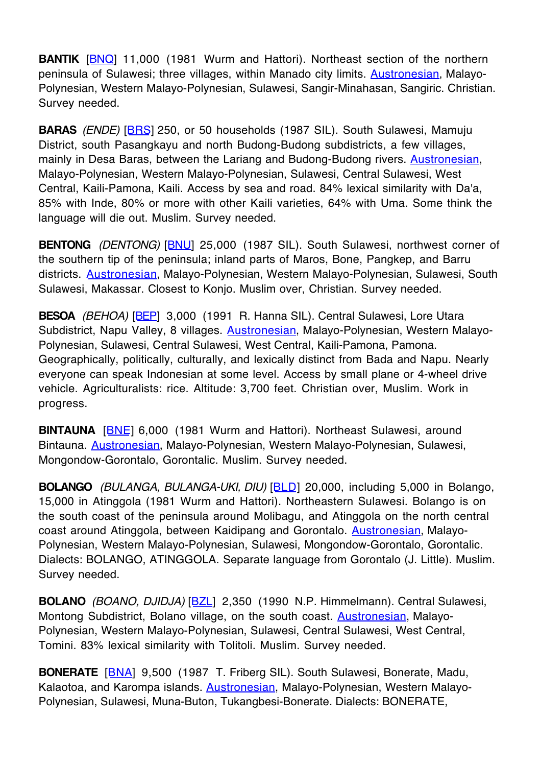**BANTIK** [**BNQ**] 11,000 (1981 Wurm and Hattori). Northeast section of the northern peninsula of Sulawesi; three villages, within Manado city limits. **Austronesian**, Malayo-Polynesian, Western Malayo-Polynesian, Sulawesi, Sangir-Minahasan, Sangiric. Christian. Survey needed.

**BARAS** (ENDE) [BRS] 250, or 50 households (1987 SIL). South Sulawesi, Mamuju District, south Pasangkayu and north Budong-Budong subdistricts, a few villages, mainly in Desa Baras, between the Lariang and Budong-Budong rivers. **Austronesian**, Malayo-Polynesian, Western Malayo-Polynesian, Sulawesi, Central Sulawesi, West Central, Kaili-Pamona, Kaili. Access by sea and road. 84% lexical similarity with Da'a, 85% with Inde, 80% or more with other Kaili varieties, 64% with Uma. Some think the language will die out. Muslim. Survey needed.

**BENTONG** (DENTONG) [BNU] 25,000 (1987 SIL). South Sulawesi, northwest corner of the southern tip of the peninsula; inland parts of Maros, Bone, Pangkep, and Barru districts. Austronesian, Malayo-Polynesian, Western Malayo-Polynesian, Sulawesi, South Sulawesi, Makassar. Closest to Konjo. Muslim over, Christian. Survey needed.

**BESOA** (BEHOA) [BEP] 3,000 (1991 R. Hanna SIL). Central Sulawesi, Lore Utara Subdistrict, Napu Valley, 8 villages. Austronesian, Malayo-Polynesian, Western Malayo-Polynesian, Sulawesi, Central Sulawesi, West Central, Kaili-Pamona, Pamona. Geographically, politically, culturally, and lexically distinct from Bada and Napu. Nearly everyone can speak Indonesian at some level. Access by small plane or 4-wheel drive vehicle. Agriculturalists: rice. Altitude: 3,700 feet. Christian over, Muslim. Work in progress.

**BINTAUNA** [BNE] 6,000 (1981 Wurm and Hattori). Northeast Sulawesi, around Bintauna. Austronesian, Malayo-Polynesian, Western Malayo-Polynesian, Sulawesi, Mongondow-Gorontalo, Gorontalic. Muslim. Survey needed.

**BOLANGO** (BULANGA, BULANGA-UKI, DIU) [BLD] 20,000, including 5,000 in Bolango, 15,000 in Atinggola (1981 Wurm and Hattori). Northeastern Sulawesi. Bolango is on the south coast of the peninsula around Molibagu, and Atinggola on the north central coast around Atinggola, between Kaidipang and Gorontalo. Austronesian, Malayo-Polynesian, Western Malayo-Polynesian, Sulawesi, Mongondow-Gorontalo, Gorontalic. Dialects: BOLANGO, ATINGGOLA. Separate language from Gorontalo (J. Little). Muslim. Survey needed.

**BOLANO** (BOANO, DJIDJA) [BZL] 2,350 (1990 N.P. Himmelmann). Central Sulawesi, Montong Subdistrict, Bolano village, on the south coast. Austronesian, Malayo-Polynesian, Western Malayo-Polynesian, Sulawesi, Central Sulawesi, West Central, Tomini. 83% lexical similarity with Tolitoli. Muslim. Survey needed.

**BONERATE** [BNA] 9,500 (1987 T. Friberg SIL). South Sulawesi, Bonerate, Madu, Kalaotoa, and Karompa islands. **Austronesian**, Malayo-Polynesian, Western Malayo-Polynesian, Sulawesi, Muna-Buton, Tukangbesi-Bonerate. Dialects: BONERATE,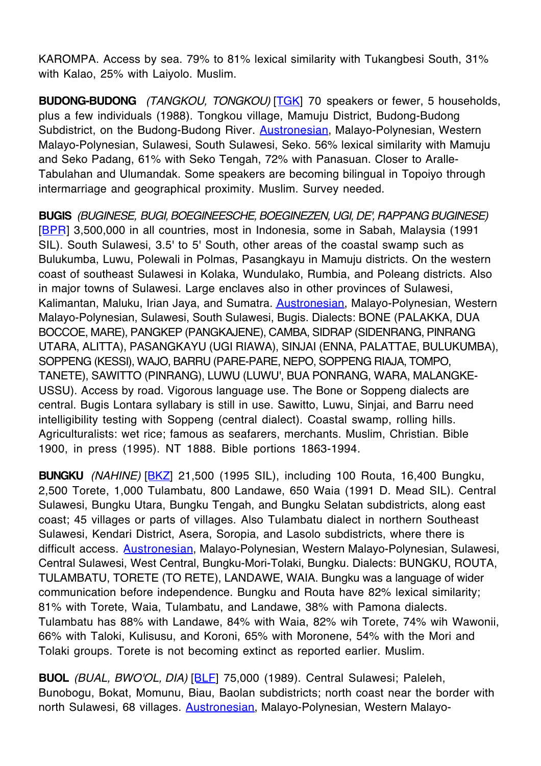KAROMPA. Access by sea. 79% to 81% lexical similarity with Tukangbesi South, 31% with Kalao, 25% with Laiyolo. Muslim.

**BUDONG-BUDONG** (TANGKOU, TONGKOU) [TGK] 70 speakers or fewer, 5 households, plus a few individuals (1988). Tongkou village, Mamuju District, Budong-Budong Subdistrict, on the Budong-Budong River. **Austronesian**, Malayo-Polynesian, Western Malayo-Polynesian, Sulawesi, South Sulawesi, Seko. 56% lexical similarity with Mamuju and Seko Padang, 61% with Seko Tengah, 72% with Panasuan. Closer to Aralle-Tabulahan and Ulumandak. Some speakers are becoming bilingual in Topoiyo through intermarriage and geographical proximity. Muslim. Survey needed.

**BUGIS** (BUGINESE, BUGI, BOEGINEESCHE, BOEGINEZEN, UGI, DE', RAPPANG BUGINESE) [BPR] 3,500,000 in all countries, most in Indonesia, some in Sabah, Malaysia (1991 SIL). South Sulawesi, 3.5' to 5' South, other areas of the coastal swamp such as Bulukumba, Luwu, Polewali in Polmas, Pasangkayu in Mamuju districts. On the western coast of southeast Sulawesi in Kolaka, Wundulako, Rumbia, and Poleang districts. Also in major towns of Sulawesi. Large enclaves also in other provinces of Sulawesi, Kalimantan, Maluku, Irian Jaya, and Sumatra. Austronesian, Malayo-Polynesian, Western Malayo-Polynesian, Sulawesi, South Sulawesi, Bugis. Dialects: BONE (PALAKKA, DUA BOCCOE, MARE), PANGKEP (PANGKAJENE), CAMBA, SIDRAP (SIDENRANG, PINRANG UTARA, ALITTA), PASANGKAYU (UGI RIAWA), SINJAI (ENNA, PALATTAE, BULUKUMBA), SOPPENG (KESSI), WAJO, BARRU (PARE-PARE, NEPO, SOPPENG RIAJA, TOMPO, TANETE), SAWITTO (PINRANG), LUWU (LUWU', BUA PONRANG, WARA, MALANGKE-USSU). Access by road. Vigorous language use. The Bone or Soppeng dialects are central. Bugis Lontara syllabary is still in use. Sawitto, Luwu, Sinjai, and Barru need intelligibility testing with Soppeng (central dialect). Coastal swamp, rolling hills. Agriculturalists: wet rice; famous as seafarers, merchants. Muslim, Christian. Bible 1900, in press (1995). NT 1888. Bible portions 1863-1994.

**BUNGKU** (NAHINE) [BKZ] 21,500 (1995 SIL), including 100 Routa, 16,400 Bungku, 2,500 Torete, 1,000 Tulambatu, 800 Landawe, 650 Waia (1991 D. Mead SIL). Central Sulawesi, Bungku Utara, Bungku Tengah, and Bungku Selatan subdistricts, along east coast; 45 villages or parts of villages. Also Tulambatu dialect in northern Southeast Sulawesi, Kendari District, Asera, Soropia, and Lasolo subdistricts, where there is difficult access. Austronesian, Malayo-Polynesian, Western Malayo-Polynesian, Sulawesi, Central Sulawesi, West Central, Bungku-Mori-Tolaki, Bungku. Dialects: BUNGKU, ROUTA, TULAMBATU, TORETE (TO RETE), LANDAWE, WAIA. Bungku was a language of wider communication before independence. Bungku and Routa have 82% lexical similarity; 81% with Torete, Waia, Tulambatu, and Landawe, 38% with Pamona dialects. Tulambatu has 88% with Landawe, 84% with Waia, 82% wih Torete, 74% wih Wawonii, 66% with Taloki, Kulisusu, and Koroni, 65% with Moronene, 54% with the Mori and Tolaki groups. Torete is not becoming extinct as reported earlier. Muslim.

**BUOL** (BUAL, BWO'OL, DIA) [BLF] 75,000 (1989). Central Sulawesi; Paleleh, Bunobogu, Bokat, Momunu, Biau, Baolan subdistricts; north coast near the border with north Sulawesi, 68 villages. Austronesian, Malayo-Polynesian, Western Malayo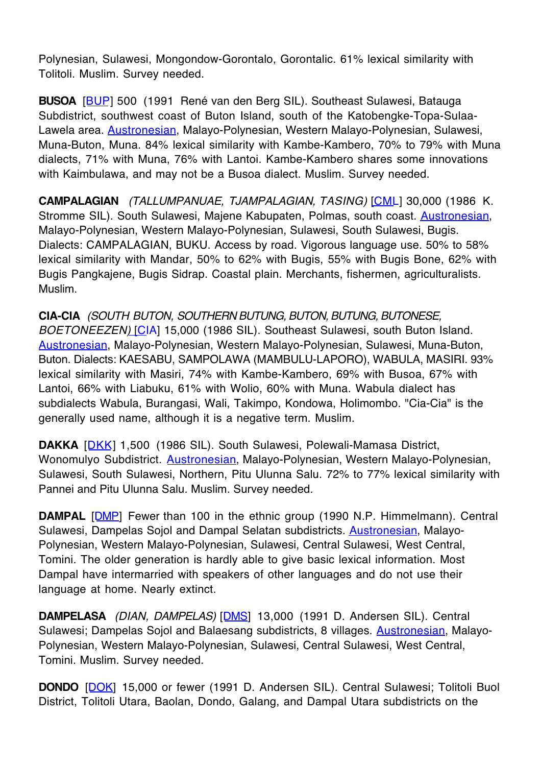Polynesian, Sulawesi, Mongondow-Gorontalo, Gorontalic. 61% lexical similarity with Tolitoli. Muslim. Survey needed.

**BUSOA** [BUP] 500 (1991 René van den Berg SIL). Southeast Sulawesi, Batauga Subdistrict, southwest coast of Buton Island, south of the Katobengke-Topa-Sulaa-Lawela area. **Austronesian**, Malayo-Polynesian, Western Malayo-Polynesian, Sulawesi, Muna-Buton, Muna. 84% lexical similarity with Kambe-Kambero, 70% to 79% with Muna dialects, 71% with Muna, 76% with Lantoi. Kambe-Kambero shares some innovations with Kaimbulawa, and may not be a Busoa dialect. Muslim. Survey needed.

**CAMPALAGIAN** (TALLUMPANUAE, TJAMPALAGIAN, TASING) [CML] 30,000 (1986 K. Stromme SIL). South Sulawesi, Majene Kabupaten, Polmas, south coast. Austronesian, Malayo-Polynesian, Western Malayo-Polynesian, Sulawesi, South Sulawesi, Bugis. Dialects: CAMPALAGIAN, BUKU. Access by road. Vigorous language use. 50% to 58% lexical similarity with Mandar, 50% to 62% with Bugis, 55% with Bugis Bone, 62% with Bugis Pangkajene, Bugis Sidrap. Coastal plain. Merchants, fishermen, agriculturalists. Muslim.

**CIA-CIA** (SOUTH BUTON, SOUTHERN BUTUNG, BUTON, BUTUNG, BUTONESE, BOETONEEZEN) [CIA] 15,000 (1986 SIL). Southeast Sulawesi, south Buton Island. Austronesian, Malayo-Polynesian, Western Malayo-Polynesian, Sulawesi, Muna-Buton, Buton. Dialects: KAESABU, SAMPOLAWA (MAMBULU-LAPORO), WABULA, MASIRI. 93% lexical similarity with Masiri, 74% with Kambe-Kambero, 69% with Busoa, 67% with Lantoi, 66% with Liabuku, 61% with Wolio, 60% with Muna. Wabula dialect has subdialects Wabula, Burangasi, Wali, Takimpo, Kondowa, Holimombo. "Cia-Cia" is the generally used name, although it is a negative term. Muslim.

**DAKKA** [DKK] 1,500 (1986 SIL). South Sulawesi, Polewali-Mamasa District, Wonomulyo Subdistrict. Austronesian, Malayo-Polynesian, Western Malayo-Polynesian, Sulawesi, South Sulawesi, Northern, Pitu Ulunna Salu. 72% to 77% lexical similarity with Pannei and Pitu Ulunna Salu. Muslim. Survey needed.

**DAMPAL** [DMP] Fewer than 100 in the ethnic group (1990 N.P. Himmelmann). Central Sulawesi, Dampelas Sojol and Dampal Selatan subdistricts. Austronesian, Malayo-Polynesian, Western Malayo-Polynesian, Sulawesi, Central Sulawesi, West Central, Tomini. The older generation is hardly able to give basic lexical information. Most Dampal have intermarried with speakers of other languages and do not use their language at home. Nearly extinct.

**DAMPELASA** (DIAN, DAMPELAS) [DMS] 13,000 (1991 D. Andersen SIL). Central Sulawesi; Dampelas Sojol and Balaesang subdistricts, 8 villages. **Austronesian**, Malayo-Polynesian, Western Malayo-Polynesian, Sulawesi, Central Sulawesi, West Central, Tomini. Muslim. Survey needed.

**DONDO** [DOK] 15,000 or fewer (1991 D. Andersen SIL). Central Sulawesi; Tolitoli Buol District, Tolitoli Utara, Baolan, Dondo, Galang, and Dampal Utara subdistricts on the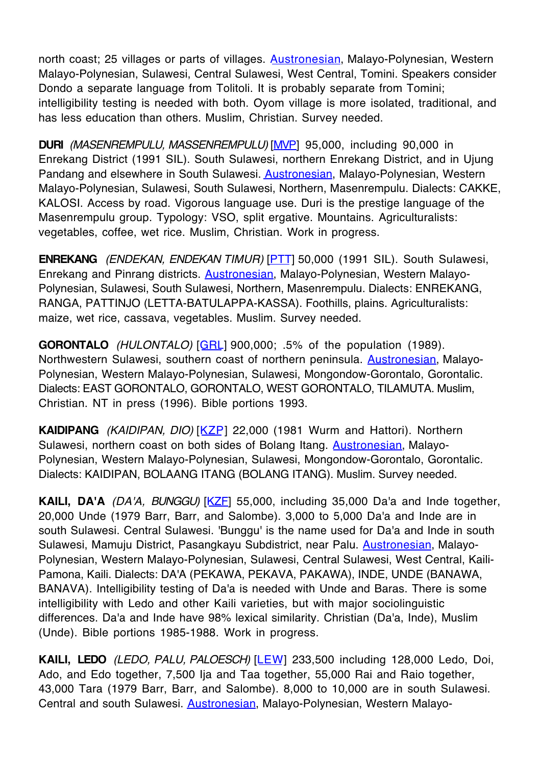north coast; 25 villages or parts of villages. Austronesian, Malayo-Polynesian, Western Malayo-Polynesian, Sulawesi, Central Sulawesi, West Central, Tomini. Speakers consider Dondo a separate language from Tolitoli. It is probably separate from Tomini; intelligibility testing is needed with both. Oyom village is more isolated, traditional, and has less education than others. Muslim, Christian. Survey needed.

**DURI** (MASENREMPULU, MASSENREMPULU) [MVP] 95,000, including 90,000 in Enrekang District (1991 SIL). South Sulawesi, northern Enrekang District, and in Ujung Pandang and elsewhere in South Sulawesi. Austronesian, Malayo-Polynesian, Western Malayo-Polynesian, Sulawesi, South Sulawesi, Northern, Masenrempulu. Dialects: CAKKE, KALOSI. Access by road. Vigorous language use. Duri is the prestige language of the Masenrempulu group. Typology: VSO, split ergative. Mountains. Agriculturalists: vegetables, coffee, wet rice. Muslim, Christian. Work in progress.

**ENREKANG** (ENDEKAN, ENDEKAN TIMUR) [PTT] 50,000 (1991 SIL). South Sulawesi, Enrekang and Pinrang districts. Austronesian, Malayo-Polynesian, Western Malayo-Polynesian, Sulawesi, South Sulawesi, Northern, Masenrempulu. Dialects: ENREKANG, RANGA, PATTINJO (LETTA-BATULAPPA-KASSA). Foothills, plains. Agriculturalists: maize, wet rice, cassava, vegetables. Muslim. Survey needed.

**GORONTALO** (HULONTALO) [GRL] 900,000; .5% of the population (1989). Northwestern Sulawesi, southern coast of northern peninsula. **Austronesian**, Malayo-Polynesian, Western Malayo-Polynesian, Sulawesi, Mongondow-Gorontalo, Gorontalic. Dialects: EAST GORONTALO, GORONTALO, WEST GORONTALO, TILAMUTA. Muslim, Christian. NT in press (1996). Bible portions 1993.

**KAIDIPANG** (KAIDIPAN, DIO) [KZP] 22,000 (1981 Wurm and Hattori). Northern Sulawesi, northern coast on both sides of Bolang Itang. **Austronesian**, Malayo-Polynesian, Western Malayo-Polynesian, Sulawesi, Mongondow-Gorontalo, Gorontalic. Dialects: KAIDIPAN, BOLAANG ITANG (BOLANG ITANG). Muslim. Survey needed.

**KAILI, DA'A** (DA'A, BUNGGU) [KZF] 55,000, including 35,000 Da'a and Inde together, 20,000 Unde (1979 Barr, Barr, and Salombe). 3,000 to 5,000 Da'a and Inde are in south Sulawesi. Central Sulawesi. 'Bunggu' is the name used for Da'a and Inde in south Sulawesi, Mamuju District, Pasangkayu Subdistrict, near Palu. Austronesian, Malayo-Polynesian, Western Malayo-Polynesian, Sulawesi, Central Sulawesi, West Central, Kaili-Pamona, Kaili. Dialects: DA'A (PEKAWA, PEKAVA, PAKAWA), INDE, UNDE (BANAWA, BANAVA). Intelligibility testing of Da'a is needed with Unde and Baras. There is some intelligibility with Ledo and other Kaili varieties, but with major sociolinguistic differences. Da'a and Inde have 98% lexical similarity. Christian (Da'a, Inde), Muslim (Unde). Bible portions 1985-1988. Work in progress.

KAILI, LEDO (LEDO, PALU, PALOESCH) [LEW] 233,500 including 128,000 Ledo, Doi, Ado, and Edo together, 7,500 Ija and Taa together, 55,000 Rai and Raio together, 43,000 Tara (1979 Barr, Barr, and Salombe). 8,000 to 10,000 are in south Sulawesi. Central and south Sulawesi. Austronesian, Malayo-Polynesian, Western Malayo-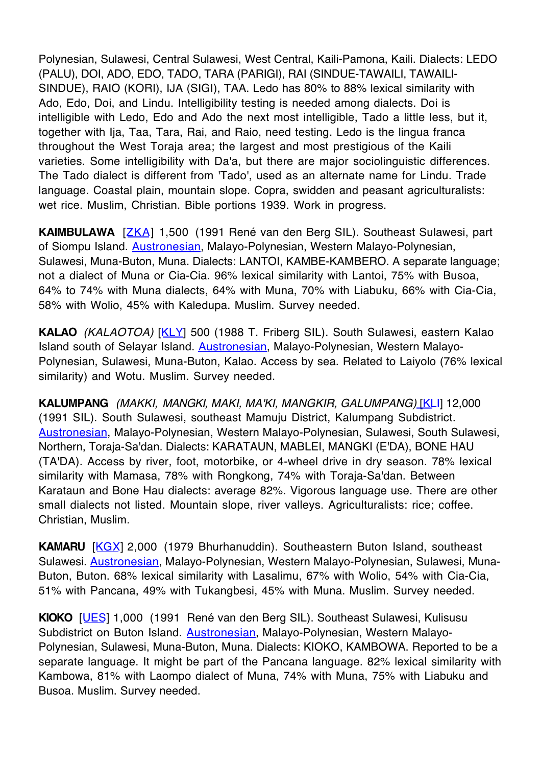Polynesian, Sulawesi, Central Sulawesi, West Central, Kaili-Pamona, Kaili. Dialects: LEDO (PALU), DOI, ADO, EDO, TADO, TARA (PARIGI), RAI (SINDUE-TAWAILI, TAWAILI-SINDUE), RAIO (KORI), IJA (SIGI), TAA. Ledo has 80% to 88% lexical similarity with Ado, Edo, Doi, and Lindu. Intelligibility testing is needed among dialects. Doi is intelligible with Ledo, Edo and Ado the next most intelligible, Tado a little less, but it, together with Ija, Taa, Tara, Rai, and Raio, need testing. Ledo is the lingua franca throughout the West Toraja area; the largest and most prestigious of the Kaili varieties. Some intelligibility with Da'a, but there are major sociolinguistic differences. The Tado dialect is different from 'Tado', used as an alternate name for Lindu. Trade language. Coastal plain, mountain slope. Copra, swidden and peasant agriculturalists: wet rice. Muslim, Christian. Bible portions 1939. Work in progress.

**KAIMBULAWA** [ZKA] 1,500 (1991 René van den Berg SIL). Southeast Sulawesi, part of Siompu Island. Austronesian, Malayo-Polynesian, Western Malayo-Polynesian, Sulawesi, Muna-Buton, Muna. Dialects: LANTOI, KAMBE-KAMBERO. A separate language; not a dialect of Muna or Cia-Cia. 96% lexical similarity with Lantoi, 75% with Busoa, 64% to 74% with Muna dialects, 64% with Muna, 70% with Liabuku, 66% with Cia-Cia, 58% with Wolio, 45% with Kaledupa. Muslim. Survey needed.

**KALAO** (KALAOTOA) [KLY] 500 (1988 T. Friberg SIL). South Sulawesi, eastern Kalao Island south of Selayar Island. Austronesian, Malayo-Polynesian, Western Malayo-Polynesian, Sulawesi, Muna-Buton, Kalao. Access by sea. Related to Laiyolo (76% lexical similarity) and Wotu. Muslim. Survey needed.

**KALUMPANG** (MAKKI, MANGKI, MAKI, MA'KI, MANGKIR, GALUMPANG) [KLI] 12,000 (1991 SIL). South Sulawesi, southeast Mamuju District, Kalumpang Subdistrict. Austronesian, Malayo-Polynesian, Western Malayo-Polynesian, Sulawesi, South Sulawesi, Northern, Toraja-Sa'dan. Dialects: KARATAUN, MABLEI, MANGKI (E'DA), BONE HAU (TA'DA). Access by river, foot, motorbike, or 4-wheel drive in dry season. 78% lexical similarity with Mamasa, 78% with Rongkong, 74% with Toraja-Sa'dan. Between Karataun and Bone Hau dialects: average 82%. Vigorous language use. There are other small dialects not listed. Mountain slope, river valleys. Agriculturalists: rice; coffee. Christian, Muslim.

**KAMARU** [KGX] 2,000 (1979 Bhurhanuddin). Southeastern Buton Island, southeast Sulawesi. Austronesian, Malayo-Polynesian, Western Malayo-Polynesian, Sulawesi, Muna-Buton, Buton. 68% lexical similarity with Lasalimu, 67% with Wolio, 54% with Cia-Cia, 51% with Pancana, 49% with Tukangbesi, 45% with Muna. Muslim. Survey needed.

**KIOKO** [UES] 1,000 (1991 René van den Berg SIL). Southeast Sulawesi, Kulisusu Subdistrict on Buton Island. Austronesian, Malayo-Polynesian, Western Malayo-Polynesian, Sulawesi, Muna-Buton, Muna. Dialects: KIOKO, KAMBOWA. Reported to be a separate language. It might be part of the Pancana language. 82% lexical similarity with Kambowa, 81% with Laompo dialect of Muna, 74% with Muna, 75% with Liabuku and Busoa. Muslim. Survey needed.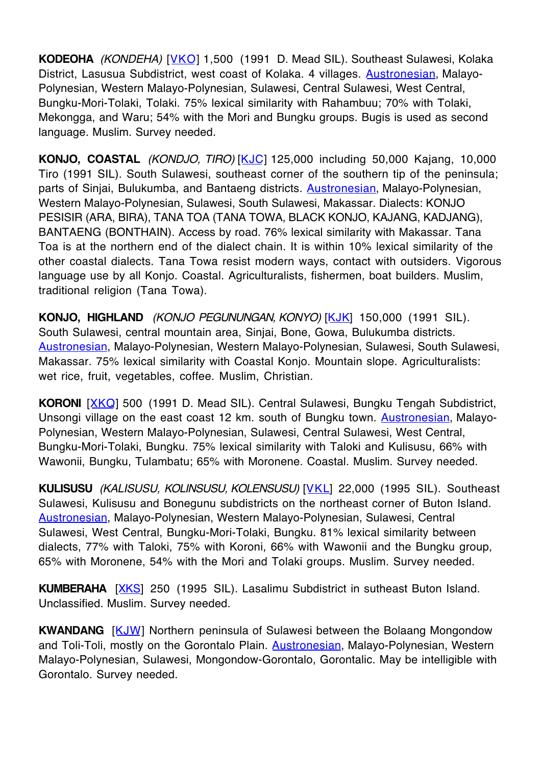**KODEOHA** (KONDEHA) [VKO] 1,500 (1991 D. Mead SIL). Southeast Sulawesi, Kolaka District. Lasusua Subdistrict, west coast of Kolaka. 4 villages. Austronesian, Malayo-Polynesian, Western Malayo-Polynesian, Sulawesi, Central Sulawesi, West Central, Bungku-Mori-Tolaki, Tolaki. 75% lexical similarity with Rahambuu; 70% with Tolaki, Mekongga, and Waru; 54% with the Mori and Bungku groups. Bugis is used as second language. Muslim. Survey needed.

**KONJO, COASTAL** (KONDJO, TIRO) [KJC] 125,000 including 50,000 Kajang, 10,000 Tiro (1991 SIL). South Sulawesi, southeast corner of the southern tip of the peninsula; parts of Sinjai, Bulukumba, and Bantaeng districts. **Austronesian**, Malayo-Polynesian, Western Malayo-Polynesian, Sulawesi, South Sulawesi, Makassar. Dialects: KONJO PESISIR (ARA, BIRA), TANA TOA (TANA TOWA, BLACK KONJO, KAJANG, KADJANG), BANTAENG (BONTHAIN). Access by road. 76% lexical similarity with Makassar. Tana Toa is at the northern end of the dialect chain. It is within 10% lexical similarity of the other coastal dialects. Tana Towa resist modern ways, contact with outsiders. Vigorous language use by all Konjo. Coastal. Agriculturalists, fishermen, boat builders. Muslim, traditional religion (Tana Towa).

**KONJO, HIGHLAND** (KONJO PEGUNUNGAN, KONYO) [KJK] 150,000 (1991 SIL). South Sulawesi, central mountain area, Sinjai, Bone, Gowa, Bulukumba districts. Austronesian, Malayo-Polynesian, Western Malayo-Polynesian, Sulawesi, South Sulawesi, Makassar. 75% lexical similarity with Coastal Konjo. Mountain slope. Agriculturalists: wet rice, fruit, vegetables, coffee. Muslim, Christian.

**KORONI** [XKQ] 500 (1991 D. Mead SIL). Central Sulawesi, Bungku Tengah Subdistrict, Unsongi village on the east coast 12 km. south of Bungku town. Austronesian, Malayo-Polynesian, Western Malayo-Polynesian, Sulawesi, Central Sulawesi, West Central, Bungku-Mori-Tolaki, Bungku. 75% lexical similarity with Taloki and Kulisusu, 66% with Wawonii, Bungku, Tulambatu; 65% with Moronene. Coastal. Muslim. Survey needed.

**KULISUSU** (KALISUSU, KOLINSUSU, KOLENSUSU) [VKL] 22,000 (1995 SIL). Southeast Sulawesi, Kulisusu and Bonegunu subdistricts on the northeast corner of Buton Island. Austronesian, Malayo-Polynesian, Western Malayo-Polynesian, Sulawesi, Central Sulawesi, West Central, Bungku-Mori-Tolaki, Bungku. 81% lexical similarity between dialects, 77% with Taloki, 75% with Koroni, 66% with Wawonii and the Bungku group, 65% with Moronene, 54% with the Mori and Tolaki groups. Muslim. Survey needed.

**KUMBERAHA** [XKS] 250 (1995 SIL). Lasalimu Subdistrict in sutheast Buton Island. Unclassified. Muslim. Survey needed.

**KWANDANG** [KJW] Northern peninsula of Sulawesi between the Bolaang Mongondow and Toli-Toli, mostly on the Gorontalo Plain. **Austronesian**, Malayo-Polynesian, Western Malayo-Polynesian, Sulawesi, Mongondow-Gorontalo, Gorontalic. May be intelligible with Gorontalo. Survey needed.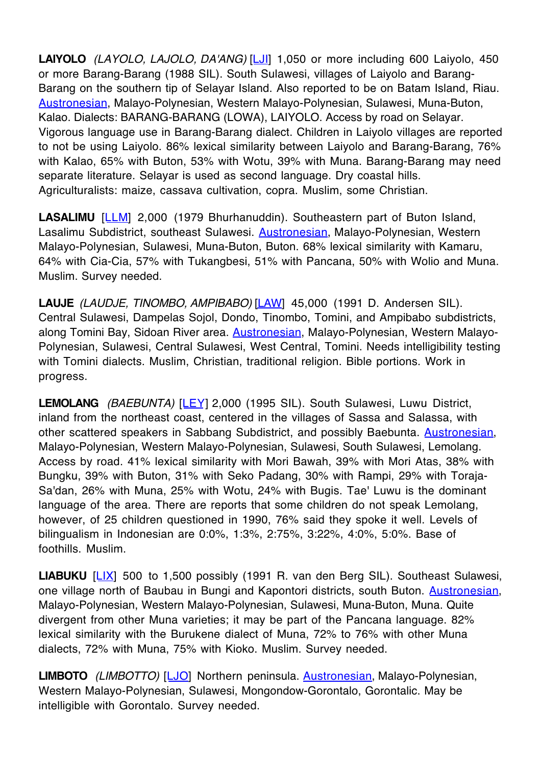**LAIYOLO** (LAYOLO, LAJOLO, DA'ANG) [LJI] 1,050 or more including 600 Laiyolo, 450 or more Barang-Barang (1988 SIL). South Sulawesi, villages of Laiyolo and Barang-Barang on the southern tip of Selayar Island. Also reported to be on Batam Island, Riau. Austronesian, Malayo-Polynesian, Western Malayo-Polynesian, Sulawesi, Muna-Buton, Kalao. Dialects: BARANG-BARANG (LOWA), LAIYOLO. Access by road on Selayar. Vigorous language use in Barang-Barang dialect. Children in Laiyolo villages are reported to not be using Laiyolo. 86% lexical similarity between Laiyolo and Barang-Barang, 76% with Kalao, 65% with Buton, 53% with Wotu, 39% with Muna. Barang-Barang may need separate literature. Selayar is used as second language. Dry coastal hills. Agriculturalists: maize, cassava cultivation, copra. Muslim, some Christian.

LASALIMU [LLM] 2,000 (1979 Bhurhanuddin). Southeastern part of Buton Island, Lasalimu Subdistrict, southeast Sulawesi. **Austronesian**, Malayo-Polynesian, Western Malayo-Polynesian, Sulawesi, Muna-Buton, Buton. 68% lexical similarity with Kamaru, 64% with Cia-Cia, 57% with Tukangbesi, 51% with Pancana, 50% with Wolio and Muna. Muslim. Survey needed.

LAUJE (LAUDJE, TINOMBO, AMPIBABO) [LAW] 45,000 (1991 D. Andersen SIL). Central Sulawesi, Dampelas Sojol, Dondo, Tinombo, Tomini, and Ampibabo subdistricts, along Tomini Bay, Sidoan River area. Austronesian, Malayo-Polynesian, Western Malayo-Polynesian, Sulawesi, Central Sulawesi, West Central, Tomini. Needs intelligibility testing with Tomini dialects. Muslim, Christian, traditional religion. Bible portions. Work in progress.

LEMOLANG (BAEBUNTA) [LEY] 2,000 (1995 SIL). South Sulawesi, Luwu District, inland from the northeast coast, centered in the villages of Sassa and Salassa, with other scattered speakers in Sabbang Subdistrict, and possibly Baebunta. Austronesian, Malayo-Polynesian, Western Malayo-Polynesian, Sulawesi, South Sulawesi, Lemolang. Access by road. 41% lexical similarity with Mori Bawah, 39% with Mori Atas, 38% with Bungku, 39% with Buton, 31% with Seko Padang, 30% with Rampi, 29% with Toraja-Sa'dan, 26% with Muna, 25% with Wotu, 24% with Bugis. Tae' Luwu is the dominant language of the area. There are reports that some children do not speak Lemolang, however, of 25 children questioned in 1990, 76% said they spoke it well. Levels of bilingualism in Indonesian are 0:0%, 1:3%, 2:75%, 3:22%, 4:0%, 5:0%. Base of foothills. Muslim.

**LIABUKU** [LIX] 500 to 1,500 possibly (1991 R. van den Berg SIL). Southeast Sulawesi, one village north of Baubau in Bungi and Kapontori districts, south Buton. Austronesian, Malayo-Polynesian, Western Malayo-Polynesian, Sulawesi, Muna-Buton, Muna. Quite divergent from other Muna varieties; it may be part of the Pancana language. 82% lexical similarity with the Burukene dialect of Muna, 72% to 76% with other Muna dialects, 72% with Muna, 75% with Kioko. Muslim. Survey needed.

**LIMBOTO** (LIMBOTTO) [LJO] Northern peninsula. Austronesian, Malayo-Polynesian, Western Malayo-Polynesian, Sulawesi, Mongondow-Gorontalo, Gorontalic. May be intelligible with Gorontalo. Survey needed.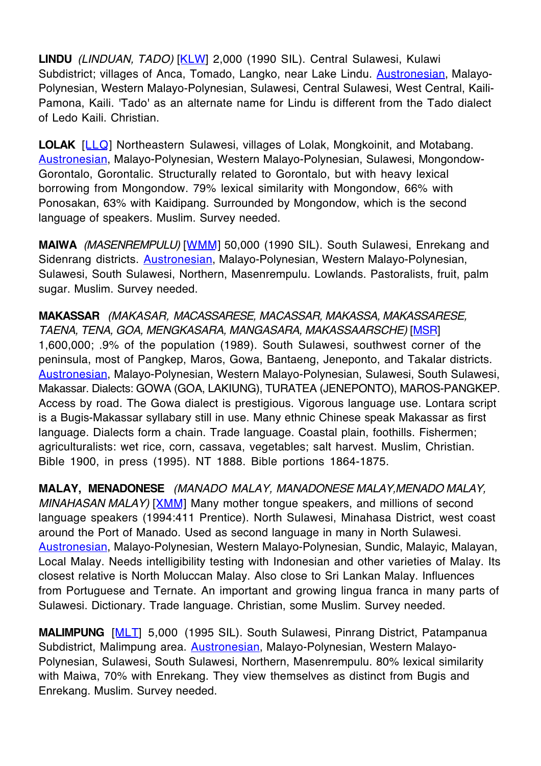**LINDU** (LINDUAN, TADO) [KLW] 2,000 (1990 SIL). Central Sulawesi, Kulawi Subdistrict; villages of Anca, Tomado, Langko, near Lake Lindu. **Austronesian**, Malayo-Polynesian, Western Malayo-Polynesian, Sulawesi, Central Sulawesi, West Central, Kaili-Pamona, Kaili. 'Tado' as an alternate name for Lindu is different from the Tado dialect of Ledo Kaili. Christian.

**LOLAK** [LLQ] Northeastern Sulawesi, villages of Lolak, Mongkoinit, and Motabang. Austronesian, Malayo-Polynesian, Western Malayo-Polynesian, Sulawesi, Mongondow-Gorontalo, Gorontalic. Structurally related to Gorontalo, but with heavy lexical borrowing from Mongondow. 79% lexical similarity with Mongondow, 66% with Ponosakan, 63% with Kaidipang. Surrounded by Mongondow, which is the second language of speakers. Muslim. Survey needed.

**MAIWA** (MASENREMPULU) [WMM] 50,000 (1990 SIL). South Sulawesi, Enrekang and Sidenrang districts. Austronesian, Malayo-Polynesian, Western Malayo-Polynesian, Sulawesi, South Sulawesi, Northern, Masenrempulu. Lowlands. Pastoralists, fruit, palm sugar. Muslim. Survey needed.

**MAKASSAR** (MAKASAR, MACASSARESE, MACASSAR, MAKASSA, MAKASSARESE, TAENA, TENA, GOA, MENGKASARA, MANGASARA, MAKASSAARSCHE) [MSR] 1,600,000; .9% of the population (1989). South Sulawesi, southwest corner of the peninsula, most of Pangkep, Maros, Gowa, Bantaeng, Jeneponto, and Takalar districts. Austronesian, Malayo-Polynesian, Western Malayo-Polynesian, Sulawesi, South Sulawesi, Makassar. Dialects: GOWA (GOA, LAKIUNG), TURATEA (JENEPONTO), MAROS-PANGKEP. Access by road. The Gowa dialect is prestigious. Vigorous language use. Lontara script is a Bugis-Makassar syllabary still in use. Many ethnic Chinese speak Makassar as first language. Dialects form a chain. Trade language. Coastal plain, foothills. Fishermen; agriculturalists: wet rice, corn, cassava, vegetables; salt harvest. Muslim, Christian. Bible 1900, in press (1995). NT 1888. Bible portions 1864-1875.

**MALAY, MENADONESE** (MANADO MALAY, MANADONESE MALAY, MENADO MALAY, MINAHASAN MALAY) [XMM] Many mother tongue speakers, and millions of second language speakers (1994:411 Prentice). North Sulawesi, Minahasa District, west coast around the Port of Manado. Used as second language in many in North Sulawesi. Austronesian, Malayo-Polynesian, Western Malayo-Polynesian, Sundic, Malayic, Malayan, Local Malay. Needs intelligibility testing with Indonesian and other varieties of Malay. Its closest relative is North Moluccan Malay. Also close to Sri Lankan Malay. Influences from Portuguese and Ternate. An important and growing lingua franca in many parts of Sulawesi. Dictionary. Trade language. Christian, some Muslim. Survey needed.

**MALIMPUNG** [MLT] 5,000 (1995 SIL). South Sulawesi, Pinrang District, Patampanua Subdistrict, Malimpung area. Austronesian, Malayo-Polynesian, Western Malayo-Polynesian, Sulawesi, South Sulawesi, Northern, Masenrempulu. 80% lexical similarity with Maiwa, 70% with Enrekang. They view themselves as distinct from Bugis and Enrekang. Muslim. Survey needed.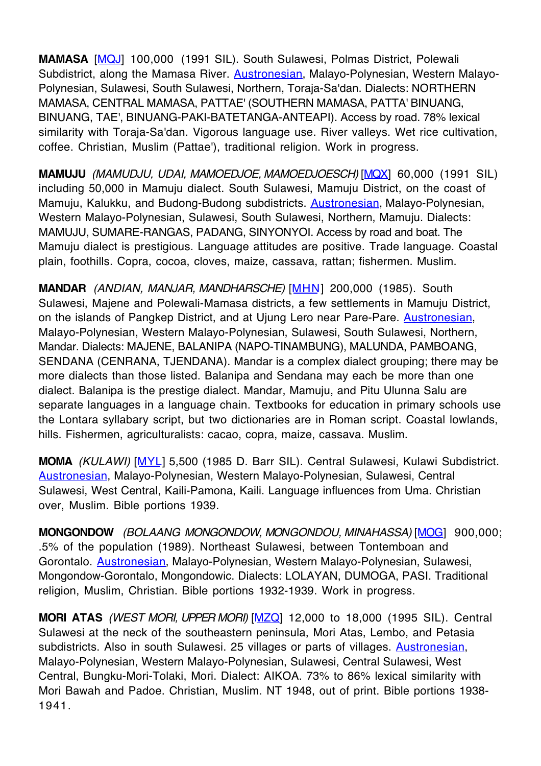**MAMASA** [MQJ] 100,000 (1991 SIL). South Sulawesi, Polmas District, Polewali Subdistrict, along the Mamasa River. **Austronesian**, Malayo-Polynesian, Western Malayo-Polynesian, Sulawesi, South Sulawesi, Northern, Toraja-Sa'dan. Dialects: NORTHERN MAMASA, CENTRAL MAMASA, PATTAE' (SOUTHERN MAMASA, PATTA' BINUANG, BINUANG, TAE', BINUANG-PAKI-BATETANGA-ANTEAPI). Access by road. 78% lexical similarity with Toraja-Sa'dan. Vigorous language use. River valleys. Wet rice cultivation, coffee. Christian, Muslim (Pattae'), traditional religion. Work in progress.

**MAMUJU** (MAMUDJU, UDAI, MAMOEDJOE, MAMOEDJOESCH) [MQX] 60,000 (1991 SIL) including 50,000 in Mamuju dialect. South Sulawesi, Mamuju District, on the coast of Mamuju, Kalukku, and Budong-Budong subdistricts. Austronesian, Malayo-Polynesian, Western Malayo-Polynesian, Sulawesi, South Sulawesi, Northern, Mamuju. Dialects: MAMUJU, SUMARE-RANGAS, PADANG, SINYONYOI. Access by road and boat. The Mamuju dialect is prestigious. Language attitudes are positive. Trade language. Coastal plain, foothills. Copra, cocoa, cloves, maize, cassava, rattan; fishermen. Muslim.

**MANDAR** (ANDIAN, MANJAR, MANDHARSCHE) [MHN] 200,000 (1985). South Sulawesi, Majene and Polewali-Mamasa districts, a few settlements in Mamuju District, on the islands of Pangkep District, and at Ujung Lero near Pare-Pare. Austronesian, Malayo-Polynesian, Western Malayo-Polynesian, Sulawesi, South Sulawesi, Northern, Mandar. Dialects: MAJENE, BALANIPA (NAPO-TINAMBUNG), MALUNDA, PAMBOANG, SENDANA (CENRANA, TJENDANA). Mandar is a complex dialect grouping; there may be more dialects than those listed. Balanipa and Sendana may each be more than one dialect. Balanipa is the prestige dialect. Mandar, Mamuju, and Pitu Ulunna Salu are separate languages in a language chain. Textbooks for education in primary schools use the Lontara syllabary script, but two dictionaries are in Roman script. Coastal lowlands, hills. Fishermen, agriculturalists: cacao, copra, maize, cassava. Muslim.

**MOMA** (KULAWI) [MYL] 5,500 (1985 D. Barr SIL). Central Sulawesi, Kulawi Subdistrict. Austronesian, Malayo-Polynesian, Western Malayo-Polynesian, Sulawesi, Central Sulawesi, West Central, Kaili-Pamona, Kaili. Language influences from Uma. Christian over, Muslim. Bible portions 1939.

**MONGONDOW** (BOLAANG MONGONDOW, MONGONDOU, MINAHASSA) [MOG] 900,000; .5% of the population (1989). Northeast Sulawesi, between Tontemboan and Gorontalo. Austronesian, Malayo-Polynesian, Western Malayo-Polynesian, Sulawesi, Mongondow-Gorontalo, Mongondowic. Dialects: LOLAYAN, DUMOGA, PASI. Traditional religion, Muslim, Christian. Bible portions 1932-1939. Work in progress.

**MORI ATAS** (WEST MORI, UPPER MORI) [MZQ] 12,000 to 18,000 (1995 SIL). Central Sulawesi at the neck of the southeastern peninsula, Mori Atas, Lembo, and Petasia subdistricts. Also in south Sulawesi. 25 villages or parts of villages. **Austronesian**, Malayo-Polynesian, Western Malayo-Polynesian, Sulawesi, Central Sulawesi, West Central, Bungku-Mori-Tolaki, Mori. Dialect: AIKOA. 73% to 86% lexical similarity with Mori Bawah and Padoe. Christian, Muslim. NT 1948, out of print. Bible portions 1938- 1941.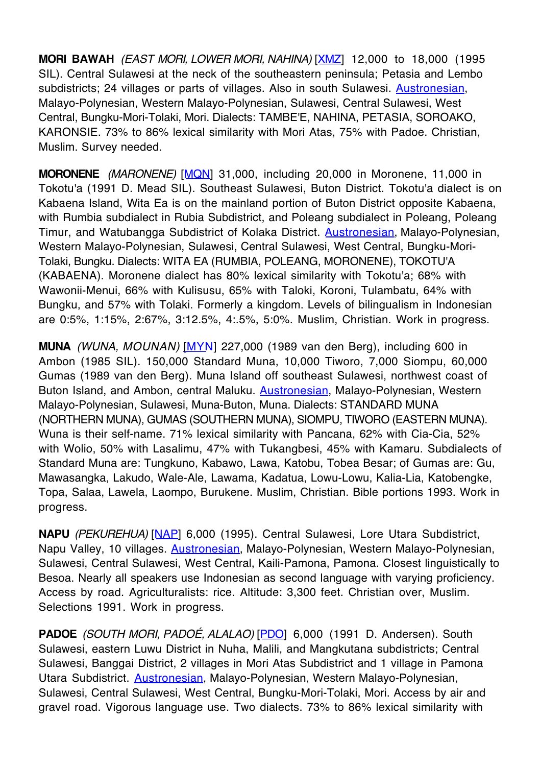**MORI BAWAH** (EAST MORI, LOWER MORI, NAHINA) [XMZ] 12,000 to 18,000 (1995 SIL). Central Sulawesi at the neck of the southeastern peninsula; Petasia and Lembo subdistricts; 24 villages or parts of villages. Also in south Sulawesi. Austronesian, Malayo-Polynesian, Western Malayo-Polynesian, Sulawesi, Central Sulawesi, West Central, Bungku-Mori-Tolaki, Mori. Dialects: TAMBE'E, NAHINA, PETASIA, SOROAKO, KARONSIE. 73% to 86% lexical similarity with Mori Atas, 75% with Padoe. Christian, Muslim. Survey needed.

**MORONENE** (MARONENE) [MQN] 31,000, including 20,000 in Moronene, 11,000 in Tokotu'a (1991 D. Mead SIL). Southeast Sulawesi, Buton District. Tokotu'a dialect is on Kabaena Island, Wita Ea is on the mainland portion of Buton District opposite Kabaena, with Rumbia subdialect in Rubia Subdistrict, and Poleang subdialect in Poleang, Poleang Timur, and Watubangga Subdistrict of Kolaka District. **Austronesian**, Malayo-Polynesian, Western Malayo-Polynesian, Sulawesi, Central Sulawesi, West Central, Bungku-Mori-Tolaki, Bungku. Dialects: WITA EA (RUMBIA, POLEANG, MORONENE), TOKOTU'A (KABAENA). Moronene dialect has 80% lexical similarity with Tokotu'a; 68% with Wawonii-Menui, 66% with Kulisusu, 65% with Taloki, Koroni, Tulambatu, 64% with Bungku, and 57% with Tolaki. Formerly a kingdom. Levels of bilingualism in Indonesian are 0:5%, 1:15%, 2:67%, 3:12.5%, 4:.5%, 5:0%. Muslim, Christian. Work in progress.

**MUNA** (WUNA, MOUNAN) [MYN] 227,000 (1989 van den Berg), including 600 in Ambon (1985 SIL). 150,000 Standard Muna, 10,000 Tiworo, 7,000 Siompu, 60,000 Gumas (1989 van den Berg). Muna Island off southeast Sulawesi, northwest coast of Buton Island, and Ambon, central Maluku. **Austronesian**, Malayo-Polynesian, Western Malayo-Polynesian, Sulawesi, Muna-Buton, Muna. Dialects: STANDARD MUNA (NORTHERN MUNA), GUMAS (SOUTHERN MUNA), SIOMPU, TIWORO (EASTERN MUNA). Wuna is their self-name. 71% lexical similarity with Pancana, 62% with Cia-Cia, 52% with Wolio, 50% with Lasalimu, 47% with Tukangbesi, 45% with Kamaru. Subdialects of Standard Muna are: Tungkuno, Kabawo, Lawa, Katobu, Tobea Besar; of Gumas are: Gu, Mawasangka, Lakudo, Wale-Ale, Lawama, Kadatua, Lowu-Lowu, Kalia-Lia, Katobengke, Topa, Salaa, Lawela, Laompo, Burukene. Muslim, Christian. Bible portions 1993. Work in progress.

**NAPU** (PEKUREHUA) [NAP] 6,000 (1995). Central Sulawesi, Lore Utara Subdistrict, Napu Valley, 10 villages. Austronesian, Malayo-Polynesian, Western Malayo-Polynesian, Sulawesi, Central Sulawesi, West Central, Kaili-Pamona, Pamona. Closest linguistically to Besoa. Nearly all speakers use Indonesian as second language with varying proficiency. Access by road. Agriculturalists: rice. Altitude: 3,300 feet. Christian over, Muslim. Selections 1991. Work in progress.

**PADOE** (SOUTH MORI, PADOÉ, ALALAO) [PDO] 6,000 (1991 D. Andersen). South Sulawesi, eastern Luwu District in Nuha, Malili, and Mangkutana subdistricts; Central Sulawesi, Banggai District, 2 villages in Mori Atas Subdistrict and 1 village in Pamona Utara Subdistrict. Austronesian, Malayo-Polynesian, Western Malayo-Polynesian, Sulawesi, Central Sulawesi, West Central, Bungku-Mori-Tolaki, Mori. Access by air and gravel road. Vigorous language use. Two dialects. 73% to 86% lexical similarity with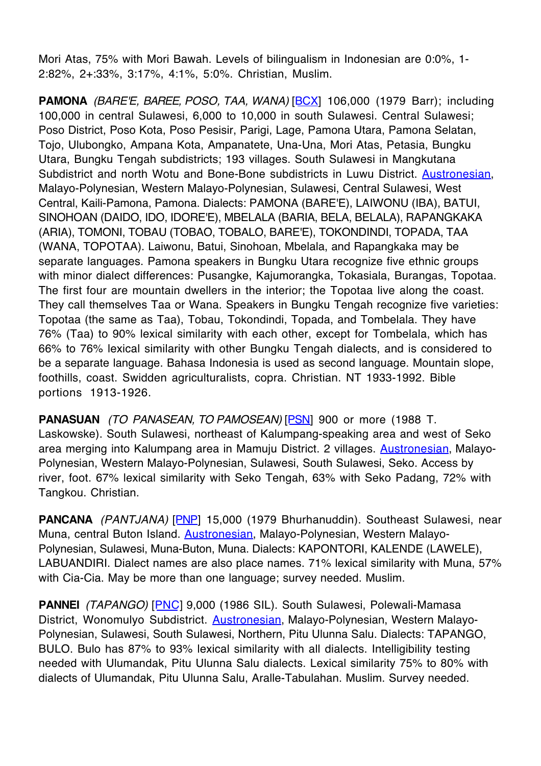Mori Atas, 75% with Mori Bawah. Levels of bilingualism in Indonesian are 0:0%, 1- 2:82%, 2+:33%, 3:17%, 4:1%, 5:0%. Christian, Muslim.

**PAMONA** (BARE'E, BAREE, POSO, TAA, WANA) [BCX] 106,000 (1979 Barr); including 100,000 in central Sulawesi, 6,000 to 10,000 in south Sulawesi. Central Sulawesi; Poso District, Poso Kota, Poso Pesisir, Parigi, Lage, Pamona Utara, Pamona Selatan, Tojo, Ulubongko, Ampana Kota, Ampanatete, Una-Una, Mori Atas, Petasia, Bungku Utara, Bungku Tengah subdistricts; 193 villages. South Sulawesi in Mangkutana Subdistrict and north Wotu and Bone-Bone subdistricts in Luwu District. Austronesian, Malayo-Polynesian, Western Malayo-Polynesian, Sulawesi, Central Sulawesi, West Central, Kaili-Pamona, Pamona. Dialects: PAMONA (BARE'E), LAIWONU (IBA), BATUI, SINOHOAN (DAIDO, IDO, IDORE'E), MBELALA (BARIA, BELA, BELALA), RAPANGKAKA (ARIA), TOMONI, TOBAU (TOBAO, TOBALO, BARE'E), TOKONDINDI, TOPADA, TAA (WANA, TOPOTAA). Laiwonu, Batui, Sinohoan, Mbelala, and Rapangkaka may be separate languages. Pamona speakers in Bungku Utara recognize five ethnic groups with minor dialect differences: Pusangke, Kajumorangka, Tokasiala, Burangas, Topotaa. The first four are mountain dwellers in the interior; the Topotaa live along the coast. They call themselves Taa or Wana. Speakers in Bungku Tengah recognize five varieties: Topotaa (the same as Taa), Tobau, Tokondindi, Topada, and Tombelala. They have 76% (Taa) to 90% lexical similarity with each other, except for Tombelala, which has 66% to 76% lexical similarity with other Bungku Tengah dialects, and is considered to be a separate language. Bahasa Indonesia is used as second language. Mountain slope, foothills, coast. Swidden agriculturalists, copra. Christian. NT 1933-1992. Bible portions 1913-1926.

PANASUAN (TO PANASEAN, TO PAMOSEAN) [PSN] 900 or more (1988 T. Laskowske). South Sulawesi, northeast of Kalumpang-speaking area and west of Seko area merging into Kalumpang area in Mamuju District. 2 villages. Austronesian, Malayo-Polynesian, Western Malayo-Polynesian, Sulawesi, South Sulawesi, Seko. Access by river, foot. 67% lexical similarity with Seko Tengah, 63% with Seko Padang, 72% with Tangkou. Christian.

**PANCANA** (PANTJANA) [PNP] 15,000 (1979 Bhurhanuddin). Southeast Sulawesi, near Muna, central Buton Island. Austronesian, Malayo-Polynesian, Western Malayo-Polynesian, Sulawesi, Muna-Buton, Muna. Dialects: KAPONTORI, KALENDE (LAWELE), LABUANDIRI. Dialect names are also place names. 71% lexical similarity with Muna, 57% with Cia-Cia. May be more than one language; survey needed. Muslim.

**PANNEI** (TAPANGO) [PNC] 9,000 (1986 SIL). South Sulawesi, Polewali-Mamasa District, Wonomulyo Subdistrict. Austronesian, Malayo-Polynesian, Western Malayo-Polynesian, Sulawesi, South Sulawesi, Northern, Pitu Ulunna Salu. Dialects: TAPANGO, BULO. Bulo has 87% to 93% lexical similarity with all dialects. Intelligibility testing needed with Ulumandak, Pitu Ulunna Salu dialects. Lexical similarity 75% to 80% with dialects of Ulumandak, Pitu Ulunna Salu, Aralle-Tabulahan. Muslim. Survey needed.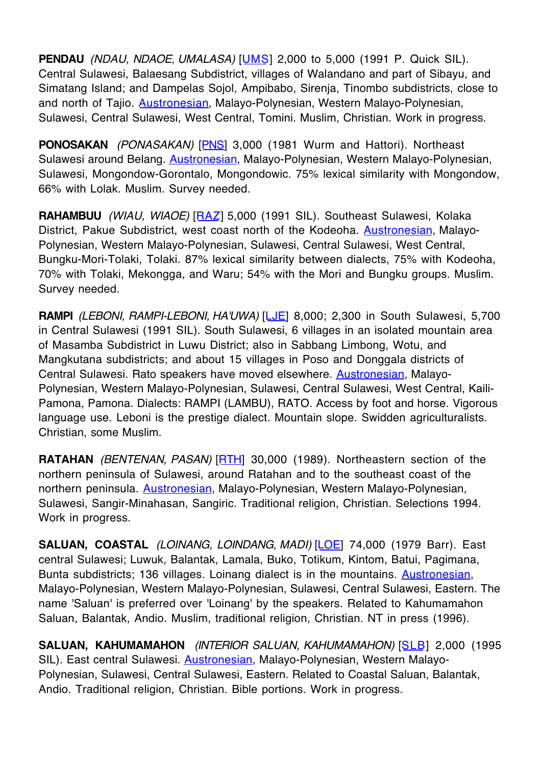**PENDAU** (NDAU, NDAOE, UMALASA) [UMS] 2,000 to 5,000 (1991 P. Quick SIL). Central Sulawesi, Balaesang Subdistrict, villages of Walandano and part of Sibayu, and Simatang Island; and Dampelas Sojol, Ampibabo, Sirenja, Tinombo subdistricts, close to and north of Tajio. Austronesian, Malayo-Polynesian, Western Malayo-Polynesian, Sulawesi, Central Sulawesi, West Central, Tomini. Muslim, Christian. Work in progress.

**PONOSAKAN** (PONASAKAN) [PNS] 3,000 (1981 Wurm and Hattori). Northeast Sulawesi around Belang. Austronesian, Malayo-Polynesian, Western Malayo-Polynesian, Sulawesi, Mongondow-Gorontalo, Mongondowic. 75% lexical similarity with Mongondow, 66% with Lolak. Muslim. Survey needed.

**RAHAMBUU** (WIAU, WIAOE) [RAZ] 5,000 (1991 SIL). Southeast Sulawesi, Kolaka District, Pakue Subdistrict, west coast north of the Kodeoha. **Austronesian**, Malayo-Polynesian, Western Malayo-Polynesian, Sulawesi, Central Sulawesi, West Central, Bungku-Mori-Tolaki, Tolaki. 87% lexical similarity between dialects, 75% with Kodeoha, 70% with Tolaki, Mekongga, and Waru; 54% with the Mori and Bungku groups. Muslim. Survey needed.

**RAMPI** (LEBONI, RAMPI-LEBONI, HA'UWA) [LJE] 8,000; 2,300 in South Sulawesi, 5,700 in Central Sulawesi (1991 SIL). South Sulawesi, 6 villages in an isolated mountain area of Masamba Subdistrict in Luwu District; also in Sabbang Limbong, Wotu, and Mangkutana subdistricts; and about 15 villages in Poso and Donggala districts of Central Sulawesi. Rato speakers have moved elsewhere. Austronesian, Malayo-Polynesian, Western Malayo-Polynesian, Sulawesi, Central Sulawesi, West Central, Kaili-Pamona, Pamona. Dialects: RAMPI (LAMBU), RATO. Access by foot and horse. Vigorous language use. Leboni is the prestige dialect. Mountain slope. Swidden agriculturalists. Christian, some Muslim.

**RATAHAN** (BENTENAN, PASAN) [RTH] 30,000 (1989). Northeastern section of the northern peninsula of Sulawesi, around Ratahan and to the southeast coast of the northern peninsula. Austronesian, Malayo-Polynesian, Western Malayo-Polynesian, Sulawesi, Sangir-Minahasan, Sangiric. Traditional religion, Christian. Selections 1994. Work in progress.

SALUAN, COASTAL *(LOINANG, LOINDANG, MADI)* [LOE] 74,000 (1979 Barr). East central Sulawesi; Luwuk, Balantak, Lamala, Buko, Totikum, Kintom, Batui, Pagimana, Bunta subdistricts; 136 villages. Loinang dialect is in the mountains. Austronesian, Malayo-Polynesian, Western Malayo-Polynesian, Sulawesi, Central Sulawesi, Eastern. The name 'Saluan' is preferred over 'Loinang' by the speakers. Related to Kahumamahon Saluan, Balantak, Andio. Muslim, traditional religion, Christian. NT in press (1996).

**SALUAN, KAHUMAMAHON** (INTERIOR SALUAN, KAHUMAMAHON) [SLB] 2,000 (1995 SIL). East central Sulawesi. Austronesian, Malayo-Polynesian, Western Malayo-Polynesian, Sulawesi, Central Sulawesi, Eastern. Related to Coastal Saluan, Balantak, Andio. Traditional religion, Christian. Bible portions. Work in progress.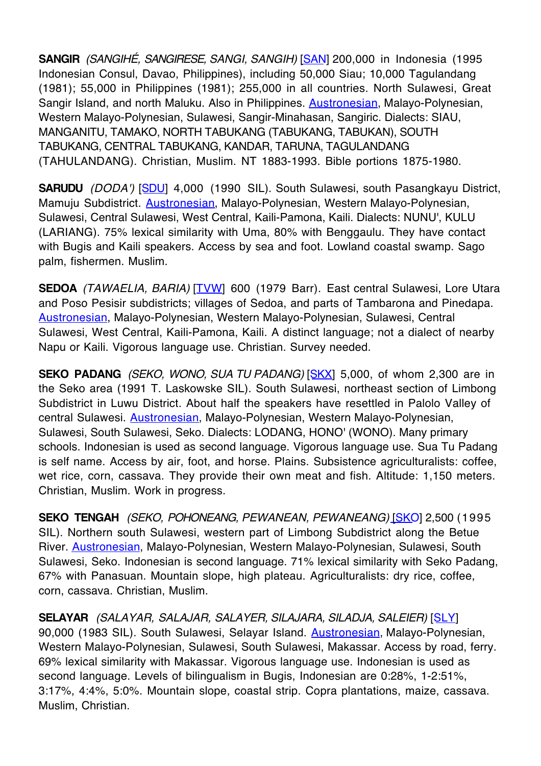**SANGIR** (SANGIHÉ, SANGIRESE, SANGI, SANGIH) [SAN] 200,000 in Indonesia (1995 Indonesian Consul, Davao, Philippines), including 50,000 Siau; 10,000 Tagulandang (1981); 55,000 in Philippines (1981); 255,000 in all countries. North Sulawesi, Great Sangir Island, and north Maluku. Also in Philippines. **Austronesian**, Malayo-Polynesian, Western Malayo-Polynesian, Sulawesi, Sangir-Minahasan, Sangiric. Dialects: SIAU, MANGANITU, TAMAKO, NORTH TABUKANG (TABUKANG, TABUKAN), SOUTH TABUKANG, CENTRAL TABUKANG, KANDAR, TARUNA, TAGULANDANG (TAHULANDANG). Christian, Muslim. NT 1883-1993. Bible portions 1875-1980.

**SARUDU** (DODA') [SDU] 4,000 (1990 SIL). South Sulawesi, south Pasangkayu District, Mamuju Subdistrict. Austronesian, Malayo-Polynesian, Western Malayo-Polynesian, Sulawesi, Central Sulawesi, West Central, Kaili-Pamona, Kaili. Dialects: NUNU', KULU (LARIANG). 75% lexical similarity with Uma, 80% with Benggaulu. They have contact with Bugis and Kaili speakers. Access by sea and foot. Lowland coastal swamp. Sago palm, fishermen. Muslim.

**SEDOA** (TAWAELIA, BARIA) [TVW] 600 (1979 Barr). East central Sulawesi, Lore Utara and Poso Pesisir subdistricts; villages of Sedoa, and parts of Tambarona and Pinedapa. Austronesian, Malayo-Polynesian, Western Malayo-Polynesian, Sulawesi, Central Sulawesi, West Central, Kaili-Pamona, Kaili. A distinct language; not a dialect of nearby Napu or Kaili. Vigorous language use. Christian. Survey needed.

**SEKO PADANG** (SEKO, WONO, SUA TU PADANG) **[SKX]** 5,000, of whom 2,300 are in the Seko area (1991 T. Laskowske SIL). South Sulawesi, northeast section of Limbong Subdistrict in Luwu District. About half the speakers have resettled in Palolo Valley of central Sulawesi. Austronesian, Malayo-Polynesian, Western Malayo-Polynesian, Sulawesi, South Sulawesi, Seko. Dialects: LODANG, HONO' (WONO). Many primary schools. Indonesian is used as second language. Vigorous language use. Sua Tu Padang is self name. Access by air, foot, and horse. Plains. Subsistence agriculturalists: coffee, wet rice, corn, cassava. They provide their own meat and fish. Altitude: 1,150 meters. Christian, Muslim. Work in progress.

**SEKO TENGAH** (SEKO, POHONEANG, PEWANEAN, PEWANEANG) [SKO] 2,500 (1995 SIL). Northern south Sulawesi, western part of Limbong Subdistrict along the Betue River. Austronesian, Malayo-Polynesian, Western Malayo-Polynesian, Sulawesi, South Sulawesi, Seko. Indonesian is second language. 71% lexical similarity with Seko Padang, 67% with Panasuan. Mountain slope, high plateau. Agriculturalists: dry rice, coffee, corn, cassava. Christian, Muslim.

**SELAYAR** (SALAYAR, SALAJAR, SALAYER, SILAJARA, SILADJA, SALEIER) [SLY] 90,000 (1983 SIL). South Sulawesi, Selayar Island. Austronesian, Malayo-Polynesian, Western Malayo-Polynesian, Sulawesi, South Sulawesi, Makassar. Access by road, ferry. 69% lexical similarity with Makassar. Vigorous language use. Indonesian is used as second language. Levels of bilingualism in Bugis, Indonesian are 0:28%, 1-2:51%, 3:17%, 4:4%, 5:0%. Mountain slope, coastal strip. Copra plantations, maize, cassava. Muslim, Christian.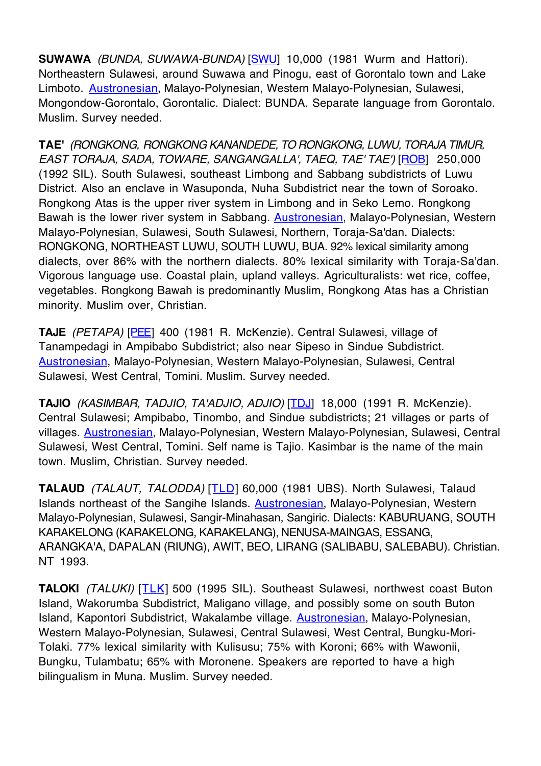**SUWAWA** (BUNDA, SUWAWA-BUNDA) [SWU] 10,000 (1981 Wurm and Hattori). Northeastern Sulawesi, around Suwawa and Pinogu, east of Gorontalo town and Lake Limboto. Austronesian, Malayo-Polynesian, Western Malayo-Polynesian, Sulawesi, Mongondow-Gorontalo, Gorontalic. Dialect: BUNDA. Separate language from Gorontalo. Muslim. Survey needed.

**TAE'** (RONGKONG, RONGKONG KANANDEDE, TO RONGKONG, LUWU, TORAJA TIMUR, EAST TORAJA, SADA, TOWARE, SANGANGALLA', TAEQ, TAE' TAE') [ROB] 250,000 (1992 SIL). South Sulawesi, southeast Limbong and Sabbang subdistricts of Luwu District. Also an enclave in Wasuponda, Nuha Subdistrict near the town of Soroako. Rongkong Atas is the upper river system in Limbong and in Seko Lemo. Rongkong Bawah is the lower river system in Sabbang. **Austronesian**, Malayo-Polynesian, Western Malayo-Polynesian, Sulawesi, South Sulawesi, Northern, Toraja-Sa'dan. Dialects: RONGKONG, NORTHEAST LUWU, SOUTH LUWU, BUA. 92% lexical similarity among dialects, over 86% with the northern dialects. 80% lexical similarity with Toraja-Sa'dan. Vigorous language use. Coastal plain, upland valleys. Agriculturalists: wet rice, coffee, vegetables. Rongkong Bawah is predominantly Muslim, Rongkong Atas has a Christian minority. Muslim over, Christian.

**TAJE** (PETAPA) [PEE] 400 (1981 R. McKenzie). Central Sulawesi, village of Tanampedagi in Ampibabo Subdistrict; also near Sipeso in Sindue Subdistrict. Austronesian, Malayo-Polynesian, Western Malayo-Polynesian, Sulawesi, Central Sulawesi, West Central, Tomini. Muslim. Survey needed.

**TAJIO** (KASIMBAR, TADJIO, TA'ADJIO, ADJIO) [TDJ] 18,000 (1991 R. McKenzie). Central Sulawesi; Ampibabo, Tinombo, and Sindue subdistricts; 21 villages or parts of villages. Austronesian, Malayo-Polynesian, Western Malayo-Polynesian, Sulawesi, Central Sulawesi, West Central, Tomini. Self name is Tajio. Kasimbar is the name of the main town. Muslim, Christian. Survey needed.

**TALAUD** (TALAUT, TALODDA) [TLD] 60,000 (1981 UBS). North Sulawesi, Talaud Islands northeast of the Sangihe Islands. Austronesian, Malayo-Polynesian, Western Malayo-Polynesian, Sulawesi, Sangir-Minahasan, Sangiric. Dialects: KABURUANG, SOUTH KARAKELONG (KARAKELONG, KARAKELANG), NENUSA-MAINGAS, ESSANG, ARANGKA'A, DAPALAN (RIUNG), AWIT, BEO, LIRANG (SALIBABU, SALEBABU). Christian. NT 1993.

**TALOKI** (TALUKI) [TLK] 500 (1995 SIL). Southeast Sulawesi, northwest coast Buton Island, Wakorumba Subdistrict, Maligano village, and possibly some on south Buton Island, Kapontori Subdistrict, Wakalambe village. Austronesian, Malayo-Polynesian, Western Malayo-Polynesian, Sulawesi, Central Sulawesi, West Central, Bungku-Mori-Tolaki. 77% lexical similarity with Kulisusu; 75% with Koroni; 66% with Wawonii, Bungku, Tulambatu; 65% with Moronene. Speakers are reported to have a high bilingualism in Muna. Muslim. Survey needed.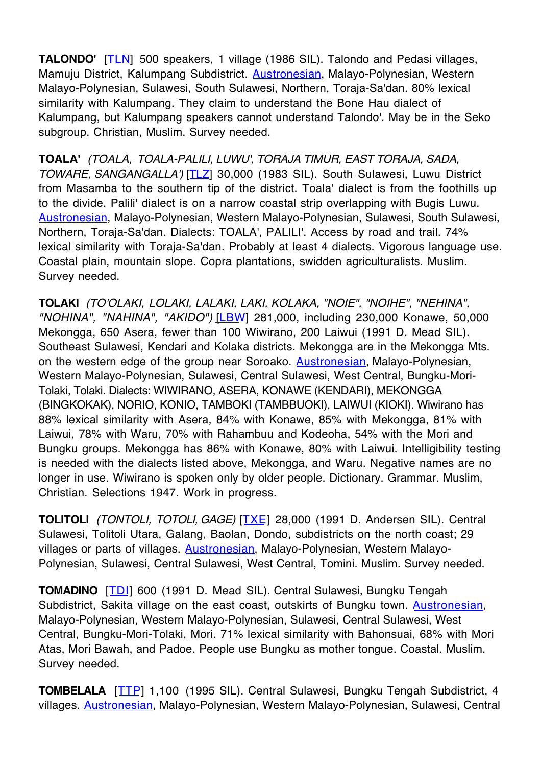**TALONDO'** [TLN] 500 speakers, 1 village (1986 SIL). Talondo and Pedasi villages, Mamuju District, Kalumpang Subdistrict. Austronesian, Malayo-Polynesian, Western Malayo-Polynesian, Sulawesi, South Sulawesi, Northern, Toraja-Sa'dan. 80% lexical similarity with Kalumpang. They claim to understand the Bone Hau dialect of Kalumpang, but Kalumpang speakers cannot understand Talondo'. May be in the Seko subgroup. Christian, Muslim. Survey needed.

**TOALA'** (TOALA, TOALA-PALILI, LUWU', TORAJA TIMUR, EAST TORAJA, SADA, TOWARE, SANGANGALLA') [TLZ] 30,000 (1983 SIL). South Sulawesi, Luwu District from Masamba to the southern tip of the district. Toala' dialect is from the foothills up to the divide. Palili' dialect is on a narrow coastal strip overlapping with Bugis Luwu. Austronesian, Malayo-Polynesian, Western Malayo-Polynesian, Sulawesi, South Sulawesi, Northern, Toraja-Sa'dan. Dialects: TOALA', PALILI'. Access by road and trail. 74% lexical similarity with Toraja-Sa'dan. Probably at least 4 dialects. Vigorous language use. Coastal plain, mountain slope. Copra plantations, swidden agriculturalists. Muslim. Survey needed.

**TOLAKI** (TO'OLAKI, LOLAKI, LALAKI, LAKI, KOLAKA, "NOIE", "NOIHE", "NEHINA", "NOHINA", "NAHINA", "AKIDO") [LBW] 281,000, including 230,000 Konawe, 50,000 Mekongga, 650 Asera, fewer than 100 Wiwirano, 200 Laiwui (1991 D. Mead SIL). Southeast Sulawesi, Kendari and Kolaka districts. Mekongga are in the Mekongga Mts. on the western edge of the group near Soroako. Austronesian, Malayo-Polynesian, Western Malayo-Polynesian, Sulawesi, Central Sulawesi, West Central, Bungku-Mori-Tolaki, Tolaki. Dialects: WIWIRANO, ASERA, KONAWE (KENDARI), MEKONGGA (BINGKOKAK), NORIO, KONIO, TAMBOKI (TAMBBUOKI), LAIWUI (KIOKI). Wiwirano has 88% lexical similarity with Asera, 84% with Konawe, 85% with Mekongga, 81% with Laiwui, 78% with Waru, 70% with Rahambuu and Kodeoha, 54% with the Mori and Bungku groups. Mekongga has 86% with Konawe, 80% with Laiwui. Intelligibility testing is needed with the dialects listed above, Mekongga, and Waru. Negative names are no longer in use. Wiwirano is spoken only by older people. Dictionary. Grammar. Muslim, Christian. Selections 1947. Work in progress.

**TOLITOLI** (TONTOLI, TOTOLI, GAGE) [TXE] 28,000 (1991 D. Andersen SIL). Central Sulawesi, Tolitoli Utara, Galang, Baolan, Dondo, subdistricts on the north coast; 29 villages or parts of villages. Austronesian, Malayo-Polynesian, Western Malayo-Polynesian, Sulawesi, Central Sulawesi, West Central, Tomini. Muslim. Survey needed.

**TOMADINO** [TDI] 600 (1991 D. Mead SIL). Central Sulawesi, Bungku Tengah Subdistrict, Sakita village on the east coast, outskirts of Bungku town. Austronesian, Malayo-Polynesian, Western Malayo-Polynesian, Sulawesi, Central Sulawesi, West Central, Bungku-Mori-Tolaki, Mori. 71% lexical similarity with Bahonsuai, 68% with Mori Atas, Mori Bawah, and Padoe. People use Bungku as mother tongue. Coastal. Muslim. Survey needed.

**TOMBELALA** [TTP] 1,100 (1995 SIL). Central Sulawesi, Bungku Tengah Subdistrict, 4 villages. Austronesian, Malayo-Polynesian, Western Malayo-Polynesian, Sulawesi, Central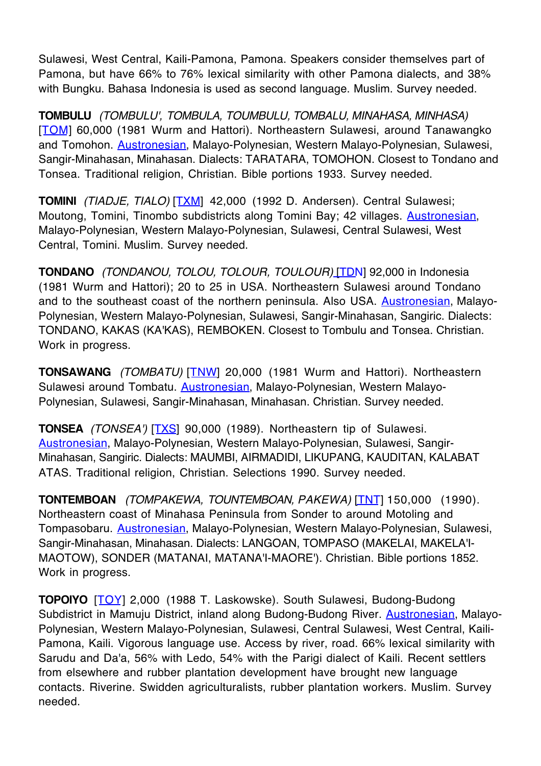Sulawesi, West Central, Kaili-Pamona, Pamona. Speakers consider themselves part of Pamona, but have 66% to 76% lexical similarity with other Pamona dialects, and 38% with Bungku. Bahasa Indonesia is used as second language. Muslim. Survey needed.

**TOMBULU** (TOMBULU', TOMBULA, TOUMBULU, TOMBALU, MINAHASA, MINHASA) [TOM] 60,000 (1981 Wurm and Hattori). Northeastern Sulawesi, around Tanawangko and Tomohon. Austronesian, Malayo-Polynesian, Western Malayo-Polynesian, Sulawesi, Sangir-Minahasan, Minahasan. Dialects: TARATARA, TOMOHON. Closest to Tondano and Tonsea. Traditional religion, Christian. Bible portions 1933. Survey needed.

**TOMINI** (TIADJE, TIALO) [TXM] 42,000 (1992 D. Andersen). Central Sulawesi; Moutong, Tomini, Tinombo subdistricts along Tomini Bay; 42 villages. Austronesian, Malayo-Polynesian, Western Malayo-Polynesian, Sulawesi, Central Sulawesi, West Central, Tomini. Muslim. Survey needed.

**TONDANO** (TONDANOU, TOLOU, TOLOUR, TOULOUR) [TDN] 92,000 in Indonesia (1981 Wurm and Hattori); 20 to 25 in USA. Northeastern Sulawesi around Tondano and to the southeast coast of the northern peninsula. Also USA. Austronesian, Malayo-Polynesian, Western Malayo-Polynesian, Sulawesi, Sangir-Minahasan, Sangiric. Dialects: TONDANO, KAKAS (KA'KAS), REMBOKEN. Closest to Tombulu and Tonsea. Christian. Work in progress.

**TONSAWANG** (TOMBATU) [TNW] 20,000 (1981 Wurm and Hattori). Northeastern Sulawesi around Tombatu. Austronesian, Malayo-Polynesian, Western Malayo-Polynesian, Sulawesi, Sangir-Minahasan, Minahasan. Christian. Survey needed.

**TONSEA** (TONSEA') [TXS] 90,000 (1989). Northeastern tip of Sulawesi. Austronesian, Malayo-Polynesian, Western Malayo-Polynesian, Sulawesi, Sangir-Minahasan, Sangiric. Dialects: MAUMBI, AIRMADIDI, LIKUPANG, KAUDITAN, KALABAT ATAS. Traditional religion, Christian. Selections 1990. Survey needed.

**TONTEMBOAN** (TOMPAKEWA, TOUNTEMBOAN, PAKEWA) [TNT] 150,000 (1990). Northeastern coast of Minahasa Peninsula from Sonder to around Motoling and Tompasobaru. Austronesian, Malayo-Polynesian, Western Malayo-Polynesian, Sulawesi, Sangir-Minahasan, Minahasan. Dialects: LANGOAN, TOMPASO (MAKELAI, MAKELA'I-MAOTOW), SONDER (MATANAI, MATANA'I-MAORE'). Christian. Bible portions 1852. Work in progress.

**TOPOIYO** [TOY] 2,000 (1988 T. Laskowske). South Sulawesi, Budong-Budong Subdistrict in Mamuju District, inland along Budong-Budong River. Austronesian, Malayo-Polynesian, Western Malayo-Polynesian, Sulawesi, Central Sulawesi, West Central, Kaili-Pamona, Kaili. Vigorous language use. Access by river, road. 66% lexical similarity with Sarudu and Da'a, 56% with Ledo, 54% with the Parigi dialect of Kaili. Recent settlers from elsewhere and rubber plantation development have brought new language contacts. Riverine. Swidden agriculturalists, rubber plantation workers. Muslim. Survey needed.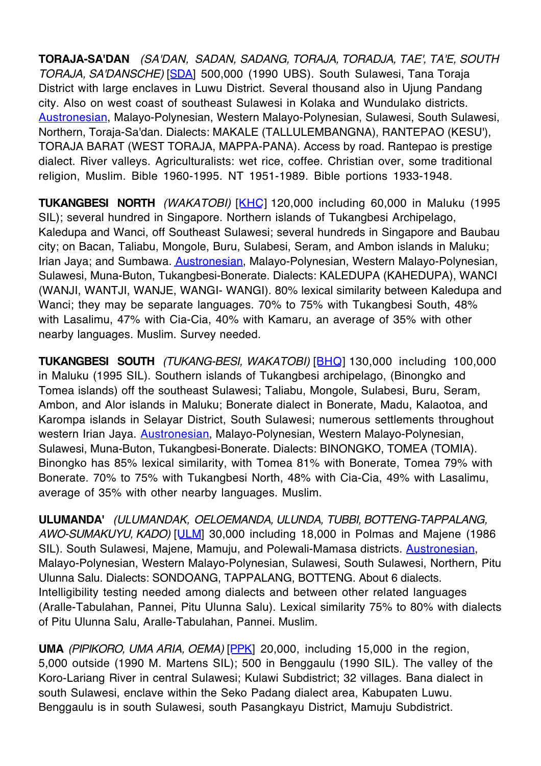**TORAJA-SA'DAN** (SA'DAN, SADAN, SADANG, TORAJA, TORADJA, TAE', TA'E, SOUTH TORAJA, SA'DANSCHE) [SDA] 500,000 (1990 UBS). South Sulawesi, Tana Toraja District with large enclaves in Luwu District. Several thousand also in Ujung Pandang city. Also on west coast of southeast Sulawesi in Kolaka and Wundulako districts. Austronesian, Malayo-Polynesian, Western Malayo-Polynesian, Sulawesi, South Sulawesi, Northern, Toraja-Sa'dan. Dialects: MAKALE (TALLULEMBANGNA), RANTEPAO (KESU'), TORAJA BARAT (WEST TORAJA, MAPPA-PANA). Access by road. Rantepao is prestige dialect. River valleys. Agriculturalists: wet rice, coffee. Christian over, some traditional religion, Muslim. Bible 1960-1995. NT 1951-1989. Bible portions 1933-1948.

**TUKANGBESI NORTH** (WAKATOBI) [KHC] 120,000 including 60,000 in Maluku (1995 SIL); several hundred in Singapore. Northern islands of Tukangbesi Archipelago, Kaledupa and Wanci, off Southeast Sulawesi; several hundreds in Singapore and Baubau city; on Bacan, Taliabu, Mongole, Buru, Sulabesi, Seram, and Ambon islands in Maluku; Irian Jaya; and Sumbawa. **Austronesian**, Malayo-Polynesian, Western Malayo-Polynesian, Sulawesi, Muna-Buton, Tukangbesi-Bonerate. Dialects: KALEDUPA (KAHEDUPA), WANCI (WANJI, WANTJI, WANJE, WANGI- WANGI). 80% lexical similarity between Kaledupa and Wanci; they may be separate languages. 70% to 75% with Tukangbesi South, 48% with Lasalimu, 47% with Cia-Cia, 40% with Kamaru, an average of 35% with other nearby languages. Muslim. Survey needed.

**TUKANGBESI SOUTH** (TUKANG-BESI, WAKATOBI) [BHQ] 130,000 including 100,000 in Maluku (1995 SIL). Southern islands of Tukangbesi archipelago, (Binongko and Tomea islands) off the southeast Sulawesi; Taliabu, Mongole, Sulabesi, Buru, Seram, Ambon, and Alor islands in Maluku; Bonerate dialect in Bonerate, Madu, Kalaotoa, and Karompa islands in Selayar District, South Sulawesi; numerous settlements throughout western Irian Jaya. **Austronesian**, Malayo-Polynesian, Western Malayo-Polynesian, Sulawesi, Muna-Buton, Tukangbesi-Bonerate. Dialects: BINONGKO, TOMEA (TOMIA). Binongko has 85% lexical similarity, with Tomea 81% with Bonerate, Tomea 79% with Bonerate. 70% to 75% with Tukangbesi North, 48% with Cia-Cia, 49% with Lasalimu, average of 35% with other nearby languages. Muslim.

**ULUMANDA'** (ULUMANDAK, OELOEMANDA, ULUNDA, TUBBI, BOTTENG-TAPPALANG, AWO-SUMAKUYU, KADO) [ULM] 30,000 including 18,000 in Polmas and Majene (1986 SIL). South Sulawesi, Majene, Mamuju, and Polewali-Mamasa districts. **Austronesian**, Malayo-Polynesian, Western Malayo-Polynesian, Sulawesi, South Sulawesi, Northern, Pitu Ulunna Salu. Dialects: SONDOANG, TAPPALANG, BOTTENG. About 6 dialects. Intelligibility testing needed among dialects and between other related languages (Aralle-Tabulahan, Pannei, Pitu Ulunna Salu). Lexical similarity 75% to 80% with dialects of Pitu Ulunna Salu, Aralle-Tabulahan, Pannei. Muslim.

**UMA** (PIPIKORO, UMA ARIA, OEMA) [PPK] 20,000, including 15,000 in the region, 5,000 outside (1990 M. Martens SIL); 500 in Benggaulu (1990 SIL). The valley of the Koro-Lariang River in central Sulawesi; Kulawi Subdistrict; 32 villages. Bana dialect in south Sulawesi, enclave within the Seko Padang dialect area, Kabupaten Luwu. Benggaulu is in south Sulawesi, south Pasangkayu District, Mamuju Subdistrict.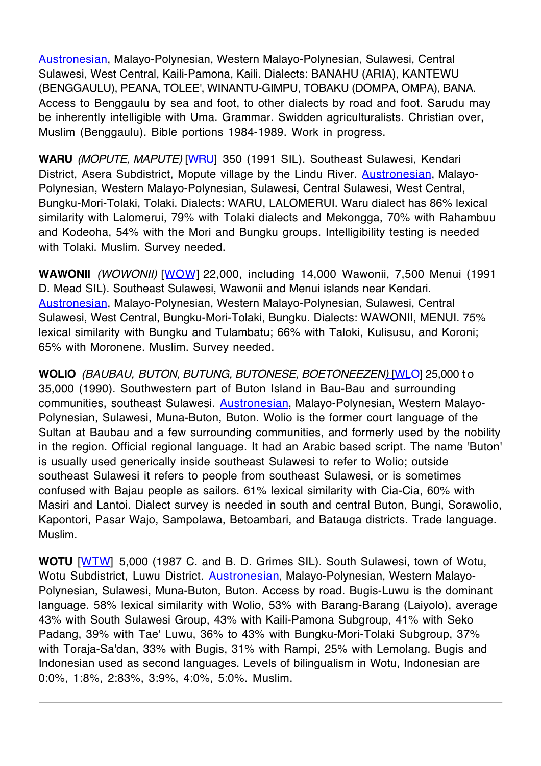Austronesian, Malayo-Polynesian, Western Malayo-Polynesian, Sulawesi, Central Sulawesi, West Central, Kaili-Pamona, Kaili. Dialects: BANAHU (ARIA), KANTEWU (BENGGAULU), PEANA, TOLEE', WINANTU-GIMPU, TOBAKU (DOMPA, OMPA), BANA. Access to Benggaulu by sea and foot, to other dialects by road and foot. Sarudu may be inherently intelligible with Uma. Grammar. Swidden agriculturalists. Christian over, Muslim (Benggaulu). Bible portions 1984-1989. Work in progress.

**WARU** (MOPUTE, MAPUTE) [WRU] 350 (1991 SIL). Southeast Sulawesi, Kendari District, Asera Subdistrict, Mopute village by the Lindu River. **Austronesian**, Malayo-Polynesian, Western Malayo-Polynesian, Sulawesi, Central Sulawesi, West Central, Bungku-Mori-Tolaki, Tolaki. Dialects: WARU, LALOMERUI. Waru dialect has 86% lexical similarity with Lalomerui, 79% with Tolaki dialects and Mekongga, 70% with Rahambuu and Kodeoha, 54% with the Mori and Bungku groups. Intelligibility testing is needed with Tolaki. Muslim. Survey needed.

**WAWONII** (WOWONII) [WOW] 22,000, including 14,000 Wawonii, 7,500 Menui (1991 D. Mead SIL). Southeast Sulawesi, Wawonii and Menui islands near Kendari. Austronesian, Malayo-Polynesian, Western Malayo-Polynesian, Sulawesi, Central Sulawesi, West Central, Bungku-Mori-Tolaki, Bungku. Dialects: WAWONII, MENUI. 75% lexical similarity with Bungku and Tulambatu; 66% with Taloki, Kulisusu, and Koroni; 65% with Moronene. Muslim. Survey needed.

**WOLIO** (BAUBAU, BUTON, BUTUNG, BUTONESE, BOETONEEZEN) [WLO] 25,000 t o 35,000 (1990). Southwestern part of Buton Island in Bau-Bau and surrounding communities, southeast Sulawesi. Austronesian, Malayo-Polynesian, Western Malayo-Polynesian, Sulawesi, Muna-Buton, Buton. Wolio is the former court language of the Sultan at Baubau and a few surrounding communities, and formerly used by the nobility in the region. Official regional language. It had an Arabic based script. The name 'Buton' is usually used generically inside southeast Sulawesi to refer to Wolio; outside southeast Sulawesi it refers to people from southeast Sulawesi, or is sometimes confused with Bajau people as sailors. 61% lexical similarity with Cia-Cia, 60% with Masiri and Lantoi. Dialect survey is needed in south and central Buton, Bungi, Sorawolio, Kapontori, Pasar Wajo, Sampolawa, Betoambari, and Batauga districts. Trade language. Muslim.

**WOTU** [WTW] 5,000 (1987 C. and B. D. Grimes SIL). South Sulawesi, town of Wotu, Wotu Subdistrict, Luwu District. Austronesian, Malayo-Polynesian, Western Malayo-Polynesian, Sulawesi, Muna-Buton, Buton. Access by road. Bugis-Luwu is the dominant language. 58% lexical similarity with Wolio, 53% with Barang-Barang (Laiyolo), average 43% with South Sulawesi Group, 43% with Kaili-Pamona Subgroup, 41% with Seko Padang, 39% with Tae' Luwu, 36% to 43% with Bungku-Mori-Tolaki Subgroup, 37% with Toraja-Sa'dan, 33% with Bugis, 31% with Rampi, 25% with Lemolang. Bugis and Indonesian used as second languages. Levels of bilingualism in Wotu, Indonesian are 0:0%, 1:8%, 2:83%, 3:9%, 4:0%, 5:0%. Muslim.